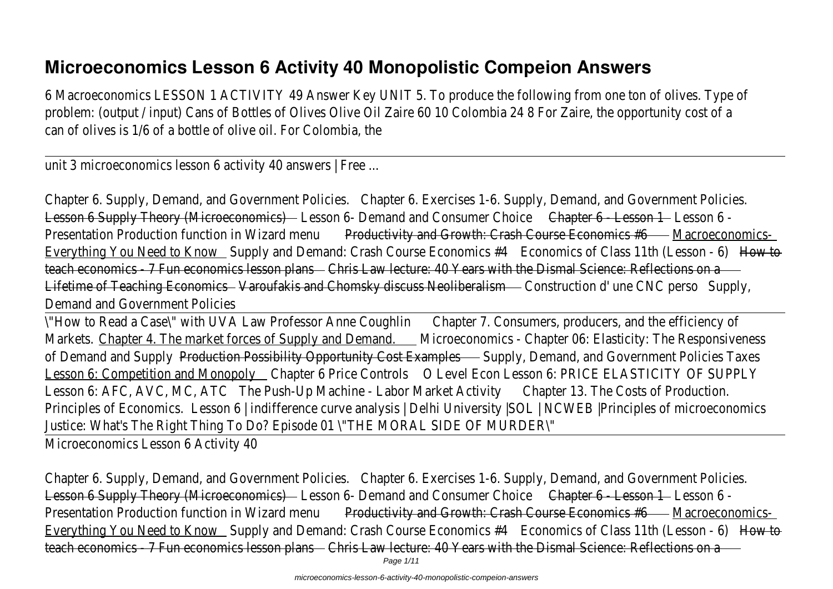## **Microeconomics Lesson 6 Activity 40 Monopolistic Compeion Answers**

6 Macroeconomics LESSON 1 ACTIVITY 49 Answer Key UNIT 5. To produce the following from one ton of olives. Type of problem: (output / input) Cans of Bottles of Olives Olive Oil Zaire 60 10 Colombia 24 8 For Zaire, the opportunity cost of a can of olives is 1/6 of a bottle of olive oil. For Colombia, the

unit 3 microeconomics lesson 6 activity 40 answers | Free ...

Chapter 6. Supply, Demand, and Government Policie Chapter 6. Exercises 1-6. Supply, Demand, and Government Policies. Lesson 6 Supply Theory (Microeconomics) Lesson 6- Demand and Consumer Choic Chapter 6 - Lesson 1 Lesson 6 -Presentation Production function in Wizard mental productivity and Growth: Crash Course Economics #6Macroeconomics-Everything You Need to Know Supply and Demand: Crash Course Economics #4 tonomics of Class 11th (Lesson - How to teach economics - 7 Fun economics lesson plans Elaw lecture: 40 Years with the Dismal Science: Reflections on a Lifetime of Teaching EconomicsVaroufakis and Chomsky discuss NeoliberalismConstruction d'une CNC pers&upply, Demand and Government Policies

\"How to Read a Case\" with UVA Law Professor Anne CoughlinChapter 7. Consumers, producers, and the efficiency of Markets.Chapter 4. The market forces of Supply and DemandMicroeconomics - Chapter 06: Elasticity: The Responsiveness of Demand and SupplyProduction Possibility Opportunity Cost Examples Supply, Demand, and Government Policies Taxes Lesson 6: Competition and Monopoly Chapter 6 Price Controls Level Econ Lesson 6: PRICE ELASTICITY OF SUPPLY Lesson 6: AFC, AVC, MC, ATC The Push-Up Machine - Labor Market Activity Chapter 13. The Costs of Production. Principles of EconomicsLesson 6 | indifference curve analysis | Delhi University |SOL | NCWEB | Principles of microeconomics Justice: What's The Right Thing To Do? Episode 01 \"THE MORAL SIDE OF MURDER\" Microeconomics Lesson 6 Activity 40

Chapter 6. Supply, Demand, and Government PolicieShapter 6. Exercises 1-6. Supply, Demand, and Government Policies. Lesson 6 Supply Theory (Microeconomics) Lesson 6- Demand and Consumer Choic Chapter 6 - Lesson 1 Lesson 6 -Presentation Production function in Wizard mental productivity and Growth: Crash Course Economics #6Macroeconomics-Everything You Need to Know Supply and Demand: Crash Course Economics #4 Economics of Class 11th (Lesson - How to teach economics - 7 Fun economics lesson plans Law lecture: 40 Years with the Dismal Science: Reflections on a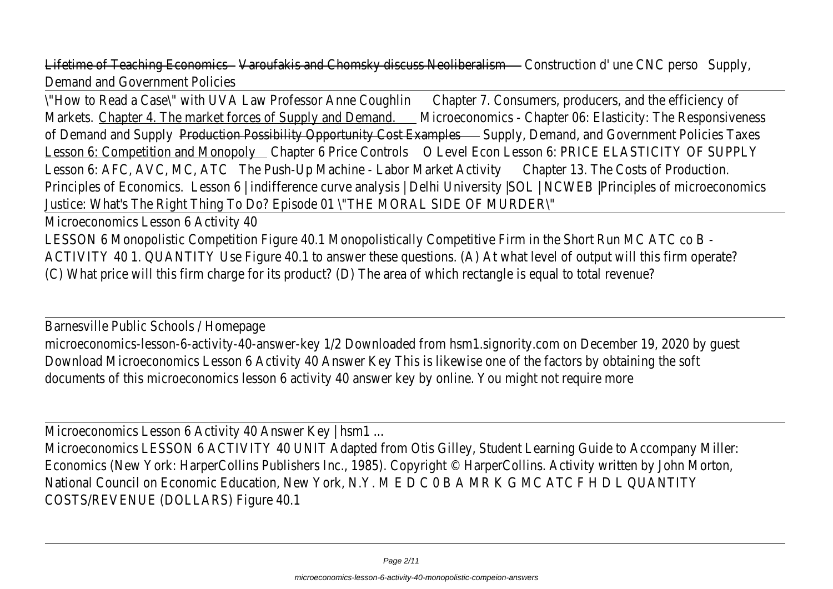Lifetime of Teaching EconomicsVaroufakis and Chomsky discuss NeoliberalismConstruction d'une CNC persoupply, Demand and Government Policies

\"How to Read a Case\" with UVA Law Professor Anne CoughlinChapter 7. Consumers, producers, and the efficiency of Markets.Chapter 4. The market forces of Supply and DemandMicroeconomics - Chapter 06: Elasticity: The Responsiveness of Demand and SupplyProduction Possibility Opportunity Cost Example Supply, Demand, and Government Policies Taxes Lesson 6: Competition and Monopoly Chapter 6 Price Controls Level Econ Lesson 6: PRICE ELASTICITY OF SUPPLY Lesson 6: AFC, AVC, MC, ATC The Push-Up Machine - Labor Market Activity Chapter 13. The Costs of Production. Principles of EconomicsLesson 6 | indifference curve analysis | Delhi University |SOL | NCWEB | Principles of microeconomics Justice: What's The Right Thing To Do? Episode 01 \"THE MORAL SIDE OF MURDER\"

Microeconomics Lesson 6 Activity 40

LESSON 6 Monopolistic Competition Figure 40.1 Monopolistically Competitive Firm in the Short Run MC ATC co B ACTIVITY 40 1. QUANTITY Use Figure 40.1 to answer these questions. (A) At what level of output will this firm operate? (C) What price will this firm charge for its product? (D) The area of which rectangle is equal to total revenue?

Barnesville Public Schools / Homepage

microeconomics-lesson-6-activity-40-answer-key 1/2 Downloaded from hsm1.signority.com on December 19, 2020 by guest Download Microeconomics Lesson 6 Activity 40 Answer Key This is likewise one of the factors by obtaining the soft documents of this microeconomics lesson 6 activity 40 answer key by online. You might not require more

Microeconomics Lesson 6 Activity 40 Answer Key | hsm1 ...

Microeconomics LESSON 6 ACTIVITY 40 UNIT Adapted from Otis Gilley, Student Learning Guide to Accompany Miller: Economics (New York: HarperCollins Publishers Inc., 1985). Copyright © HarperCollins. Activity written by John Morton, National Council on Economic Education, New York, N.Y. M E D C 0 B A MR K G MC ATC F H D L QUANTITY COSTS/REVENUE (DOLLARS) Figure 40.1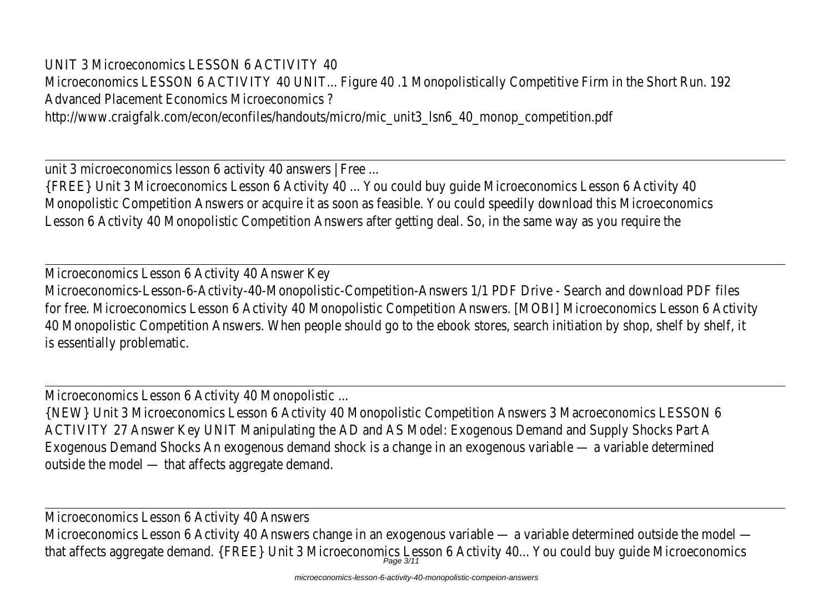UNIT 3 Microeconomics LESSON 6 ACTIVITY 40 Microeconomics LESSON 6 ACTIVITY 40 UNIT... Figure 40 .1 Monopolistically Competitive Firm in the Short Run. 192 Advanced Placement Economics Microeconomics ? http://www.craigfalk.com/econ/econfiles/handouts/micro/mic\_unit3\_lsn6\_40\_monop\_competition.pdf

unit 3 microeconomics lesson 6 activity 40 answers | Free ... {FREE} Unit 3 Microeconomics Lesson 6 Activity 40 ... You could buy guide Microeconomics Lesson 6 Activity 40 Monopolistic Competition Answers or acquire it as soon as feasible. You could speedily download this Microeconomics Lesson 6 Activity 40 Monopolistic Competition Answers after getting deal. So, in the same way as you require the

Microeconomics Lesson 6 Activity 40 Answer Key Microeconomics-Lesson-6-Activity-40-Monopolistic-Competition-Answers 1/1 PDF Drive - Search and download PDF files for free. Microeconomics Lesson 6 Activity 40 Monopolistic Competition Answers. [MOBI] Microeconomics Lesson 6 Activity 40 Monopolistic Competition Answers. When people should go to the ebook stores, search initiation by shop, shelf by shelf, it is essentially problematic.

Microeconomics Lesson 6 Activity 40 Monopolistic ...

{NEW} Unit 3 Microeconomics Lesson 6 Activity 40 Monopolistic Competition Answers 3 Macroeconomics LESSON 6 ACTIVITY 27 Answer Key UNIT Manipulating the AD and AS Model: Exogenous Demand and Supply Shocks Part A Exogenous Demand Shocks An exogenous demand shock is a change in an exogenous variable — a variable determined outside the model — that affects aggregate demand.

Microeconomics Lesson 6 Activity 40 Answers Microeconomics Lesson 6 Activity 40 Answers change in an exogenous variable — a variable determined outside the model that affects aggregate demand. {FREE} Unit 3 Microeconomics Lesson 6 Activity 40... You could buy guide Microeconomic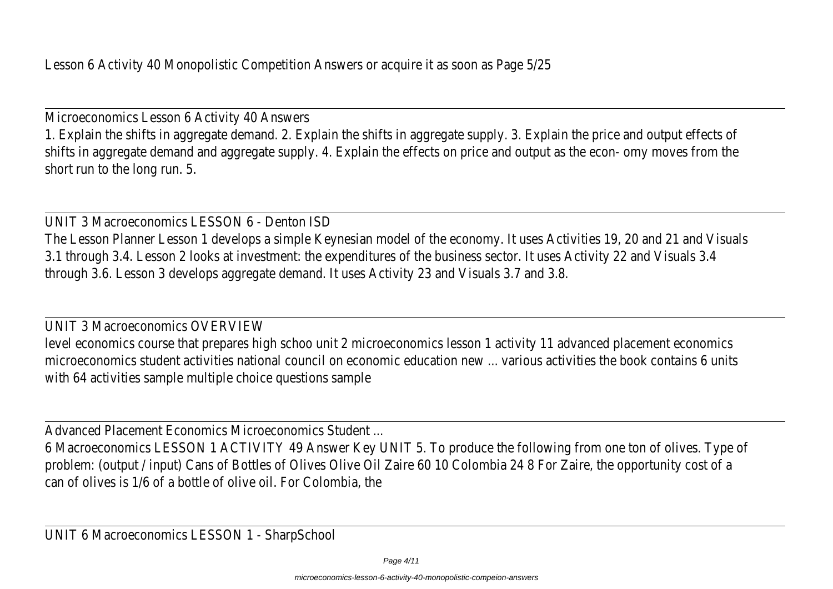Lesson 6 Activity 40 Monopolistic Competition Answers or acquire it as soon as Page 5/25

Microeconomics Lesson 6 Activity 40 Answers 1. Explain the shifts in aggregate demand. 2. Explain the shifts in aggregate supply. 3. Explain the price and output effects of shifts in aggregate demand and aggregate supply. 4. Explain the effects on price and output as the econ- omy moves from the short run to the long run. 5.

UNIT 3 Macroeconomics LESSON 6 - Denton ISD The Lesson Planner Lesson 1 develops a simple Keynesian model of the economy. It uses Activities 19, 20 and 21 and Visuals 3.1 through 3.4. Lesson 2 looks at investment: the expenditures of the business sector. It uses Activity 22 and Visuals 3.4 through 3.6. Lesson 3 develops aggregate demand. It uses Activity 23 and Visuals 3.7 and 3.8.

UNIT 3 Macroeconomics OVERVIEW level economics course that prepares high schoo unit 2 microeconomics lesson 1 activity 11 advanced placement economics microeconomics student activities national council on economic education new ... various activities the book contains 6 units with 64 activities sample multiple choice questions sample

Advanced Placement Economics Microeconomics Student ...

6 Macroeconomics LESSON 1 ACTIVITY 49 Answer Key UNIT 5. To produce the following from one ton of olives. Type of problem: (output / input) Cans of Bottles of Olives Olive Oil Zaire 60 10 Colombia 24 8 For Zaire, the opportunity cost of a can of olives is 1/6 of a bottle of olive oil. For Colombia, the

UNIT 6 Macroeconomics LESSON 1 - SharpSchool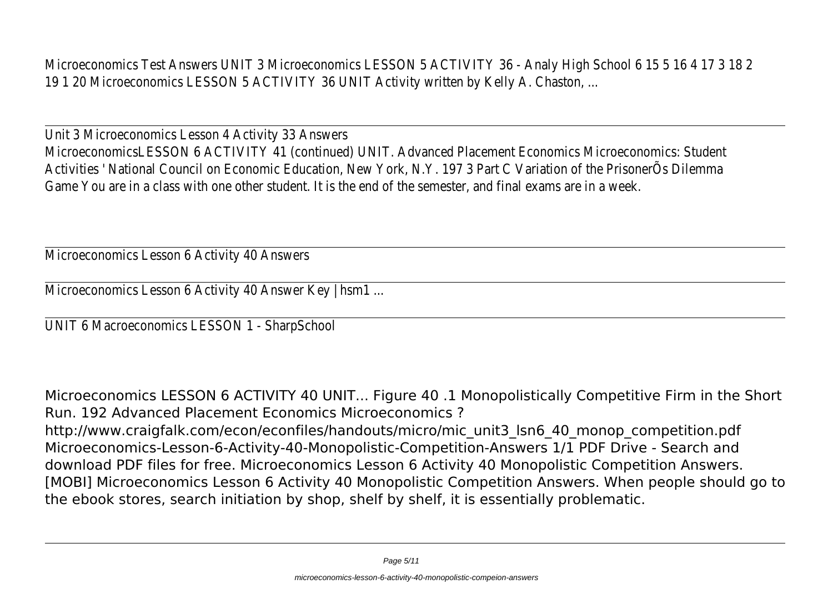Microeconomics Test Answers UNIT 3 Microeconomics LESSON 5 ACTIVITY 36 - Analy High School 6 15 5 16 4 17 3 18 2 19 1 20 Microeconomics LESSON 5 ACTIVITY 36 UNIT Activity written by Kelly A. Chaston, ...

Unit 3 Microeconomics Lesson 4 Activity 33 Answers MicroeconomicsLESSON 6 ACTIVITY 41 (continued) UNIT. Advanced Placement Economics Microeconomics: Student Activities ' National Council on Economic Education, New York, N.Y. 197 3 Part C Variation of the PrisonerÕs Dilemma Game You are in a class with one other student. It is the end of the semester, and final exams are in a week.

Microeconomics Lesson 6 Activity 40 Answers

Microeconomics Lesson 6 Activity 40 Answer Key | hsm1 ...

UNIT 6 Macroeconomics LESSON 1 - SharpSchool

Microeconomics LESSON 6 ACTIVITY 40 UNIT... Figure 40 .1 Monopolistically Competitive Firm in the Short Run. 192 Advanced Placement Economics Microeconomics ? http://www.craigfalk.com/econ/econfiles/handouts/micro/mic\_unit3\_lsn6\_40\_monop\_competition.pdf Microeconomics-Lesson-6-Activity-40-Monopolistic-Competition-Answers 1/1 PDF Drive - Search and download PDF files for free. Microeconomics Lesson 6 Activity 40 Monopolistic Competition Answers. [MOBI] Microeconomics Lesson 6 Activity 40 Monopolistic Competition Answers. When people should go to the ebook stores, search initiation by shop, shelf by shelf, it is essentially problematic.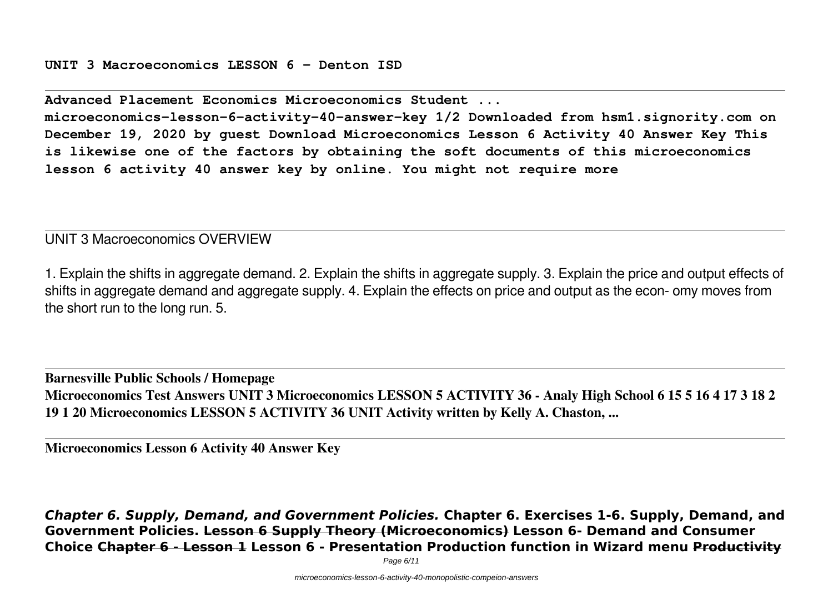**UNIT 3 Macroeconomics LESSON 6 - Denton ISD**

**Advanced Placement Economics Microeconomics Student ...**

**microeconomics-lesson-6-activity-40-answer-key 1/2 Downloaded from hsm1.signority.com on December 19, 2020 by guest Download Microeconomics Lesson 6 Activity 40 Answer Key This is likewise one of the factors by obtaining the soft documents of this microeconomics lesson 6 activity 40 answer key by online. You might not require more**

UNIT 3 Macroeconomics OVERVIEW

1. Explain the shifts in aggregate demand. 2. Explain the shifts in aggregate supply. 3. Explain the price and output effects of shifts in aggregate demand and aggregate supply. 4. Explain the effects on price and output as the econ- omy moves from the short run to the long run. 5.

**Barnesville Public Schools / Homepage Microeconomics Test Answers UNIT 3 Microeconomics LESSON 5 ACTIVITY 36 - Analy High School 6 15 5 16 4 17 3 18 2 19 1 20 Microeconomics LESSON 5 ACTIVITY 36 UNIT Activity written by Kelly A. Chaston, ...**

**Microeconomics Lesson 6 Activity 40 Answer Key**

*Chapter 6. Supply, Demand, and Government Policies.* **Chapter 6. Exercises 1-6. Supply, Demand, and Government Policies. Lesson 6 Supply Theory (Microeconomics) Lesson 6- Demand and Consumer Choice Chapter 6 - Lesson 1 Lesson 6 - Presentation Production function in Wizard menu Productivity**

Page 6/11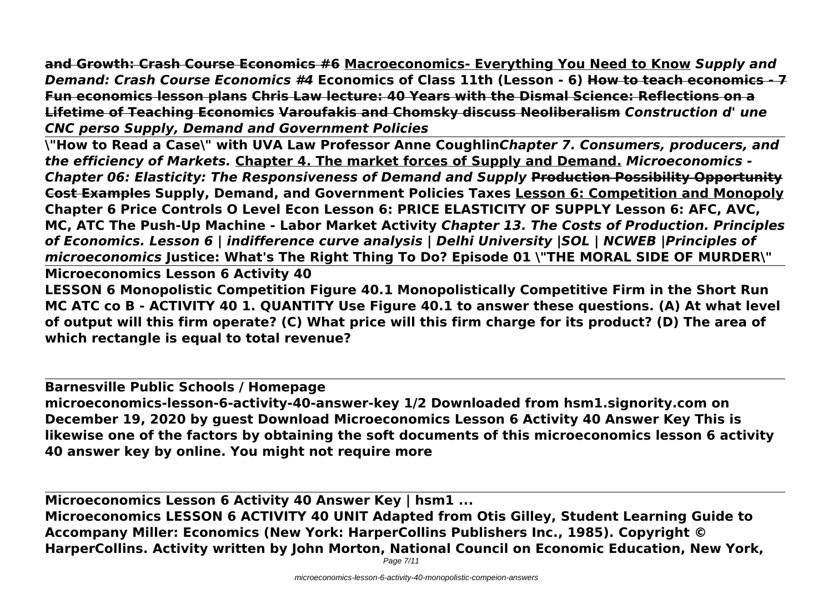**and Growth: Crash Course Economics #6 Macroeconomics- Everything You Need to Know** *Supply and Demand: Crash Course Economics #4* **Economics of Class 11th (Lesson - 6) How to teach economics - 7 Fun economics lesson plans Chris Law lecture: 40 Years with the Dismal Science: Reflections on a Lifetime of Teaching Economics Varoufakis and Chomsky discuss Neoliberalism** *Construction d' une CNC perso Supply, Demand and Government Policies*

**\"How to Read a Case\" with UVA Law Professor Anne Coughlin***Chapter 7. Consumers, producers, and the efficiency of Markets.* **Chapter 4. The market forces of Supply and Demand.** *Microeconomics - Chapter 06: Elasticity: The Responsiveness of Demand and Supply* **Production Possibility Opportunity Cost Examples Supply, Demand, and Government Policies Taxes Lesson 6: Competition and Monopoly Chapter 6 Price Controls O Level Econ Lesson 6: PRICE ELASTICITY OF SUPPLY Lesson 6: AFC, AVC, MC, ATC The Push-Up Machine - Labor Market Activity** *Chapter 13. The Costs of Production. Principles of Economics. Lesson 6 | indifference curve analysis | Delhi University |SOL | NCWEB |Principles of microeconomics* **Justice: What's The Right Thing To Do? Episode 01 \"THE MORAL SIDE OF MURDER\"**

**Microeconomics Lesson 6 Activity 40**

**LESSON 6 Monopolistic Competition Figure 40.1 Monopolistically Competitive Firm in the Short Run MC ATC co B - ACTIVITY 40 1. QUANTITY Use Figure 40.1 to answer these questions. (A) At what level of output will this firm operate? (C) What price will this firm charge for its product? (D) The area of which rectangle is equal to total revenue?**

**Barnesville Public Schools / Homepage**

**microeconomics-lesson-6-activity-40-answer-key 1/2 Downloaded from hsm1.signority.com on December 19, 2020 by guest Download Microeconomics Lesson 6 Activity 40 Answer Key This is likewise one of the factors by obtaining the soft documents of this microeconomics lesson 6 activity 40 answer key by online. You might not require more**

**Microeconomics Lesson 6 Activity 40 Answer Key | hsm1 ... Microeconomics LESSON 6 ACTIVITY 40 UNIT Adapted from Otis Gilley, Student Learning Guide to Accompany Miller: Economics (New York: HarperCollins Publishers Inc., 1985). Copyright © HarperCollins. Activity written by John Morton, National Council on Economic Education, New York,**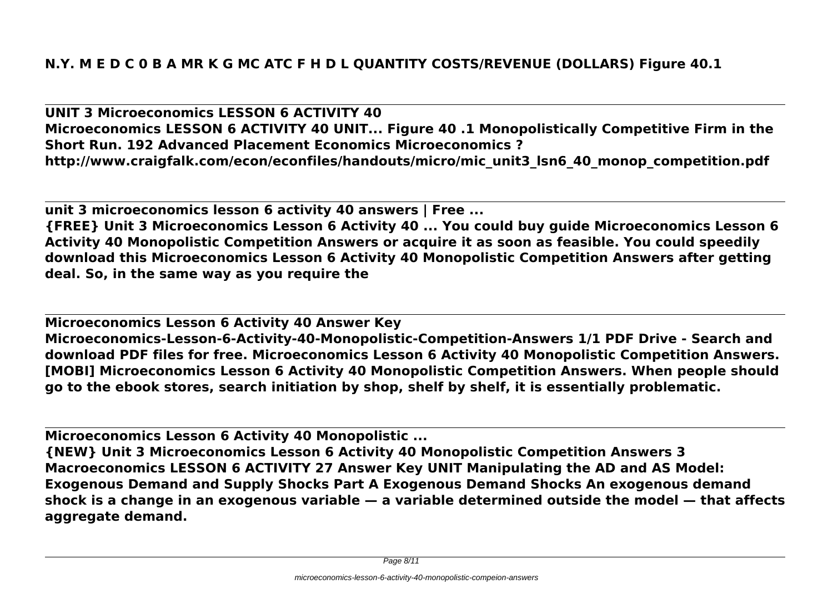**UNIT 3 Microeconomics LESSON 6 ACTIVITY 40 Microeconomics LESSON 6 ACTIVITY 40 UNIT... Figure 40 .1 Monopolistically Competitive Firm in the Short Run. 192 Advanced Placement Economics Microeconomics ? http://www.craigfalk.com/econ/econfiles/handouts/micro/mic\_unit3\_lsn6\_40\_monop\_competition.pdf**

**unit 3 microeconomics lesson 6 activity 40 answers | Free ...**

**{FREE} Unit 3 Microeconomics Lesson 6 Activity 40 ... You could buy guide Microeconomics Lesson 6 Activity 40 Monopolistic Competition Answers or acquire it as soon as feasible. You could speedily download this Microeconomics Lesson 6 Activity 40 Monopolistic Competition Answers after getting deal. So, in the same way as you require the**

**Microeconomics Lesson 6 Activity 40 Answer Key Microeconomics-Lesson-6-Activity-40-Monopolistic-Competition-Answers 1/1 PDF Drive - Search and download PDF files for free. Microeconomics Lesson 6 Activity 40 Monopolistic Competition Answers. [MOBI] Microeconomics Lesson 6 Activity 40 Monopolistic Competition Answers. When people should go to the ebook stores, search initiation by shop, shelf by shelf, it is essentially problematic.**

**Microeconomics Lesson 6 Activity 40 Monopolistic ...**

**{NEW} Unit 3 Microeconomics Lesson 6 Activity 40 Monopolistic Competition Answers 3 Macroeconomics LESSON 6 ACTIVITY 27 Answer Key UNIT Manipulating the AD and AS Model: Exogenous Demand and Supply Shocks Part A Exogenous Demand Shocks An exogenous demand shock is a change in an exogenous variable — a variable determined outside the model — that affects aggregate demand.**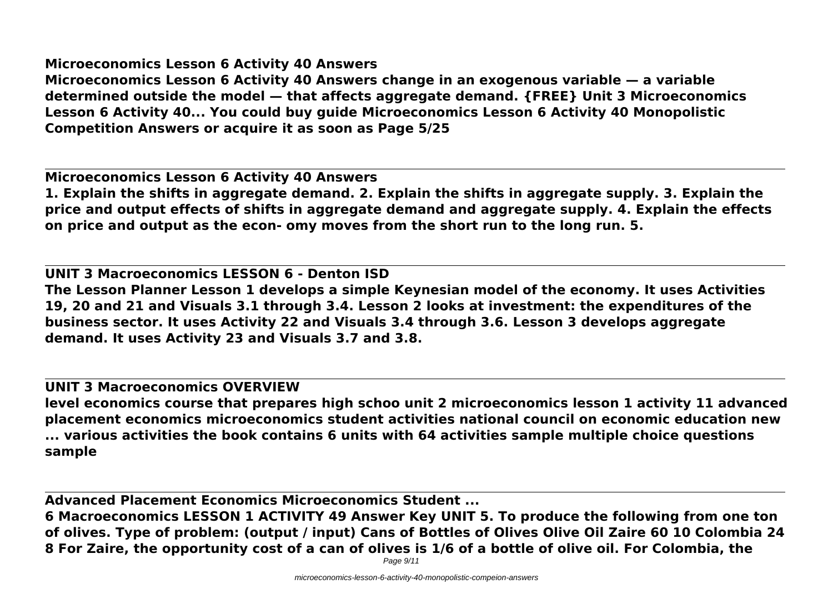**Microeconomics Lesson 6 Activity 40 Answers**

**Microeconomics Lesson 6 Activity 40 Answers change in an exogenous variable — a variable determined outside the model — that affects aggregate demand. {FREE} Unit 3 Microeconomics Lesson 6 Activity 40... You could buy guide Microeconomics Lesson 6 Activity 40 Monopolistic Competition Answers or acquire it as soon as Page 5/25**

**Microeconomics Lesson 6 Activity 40 Answers 1. Explain the shifts in aggregate demand. 2. Explain the shifts in aggregate supply. 3. Explain the price and output effects of shifts in aggregate demand and aggregate supply. 4. Explain the effects on price and output as the econ- omy moves from the short run to the long run. 5.**

**UNIT 3 Macroeconomics LESSON 6 - Denton ISD The Lesson Planner Lesson 1 develops a simple Keynesian model of the economy. It uses Activities 19, 20 and 21 and Visuals 3.1 through 3.4. Lesson 2 looks at investment: the expenditures of the business sector. It uses Activity 22 and Visuals 3.4 through 3.6. Lesson 3 develops aggregate demand. It uses Activity 23 and Visuals 3.7 and 3.8.**

## **UNIT 3 Macroeconomics OVERVIEW**

**level economics course that prepares high schoo unit 2 microeconomics lesson 1 activity 11 advanced placement economics microeconomics student activities national council on economic education new ... various activities the book contains 6 units with 64 activities sample multiple choice questions sample**

**Advanced Placement Economics Microeconomics Student ... 6 Macroeconomics LESSON 1 ACTIVITY 49 Answer Key UNIT 5. To produce the following from one ton of olives. Type of problem: (output / input) Cans of Bottles of Olives Olive Oil Zaire 60 10 Colombia 24 8 For Zaire, the opportunity cost of a can of olives is 1/6 of a bottle of olive oil. For Colombia, the**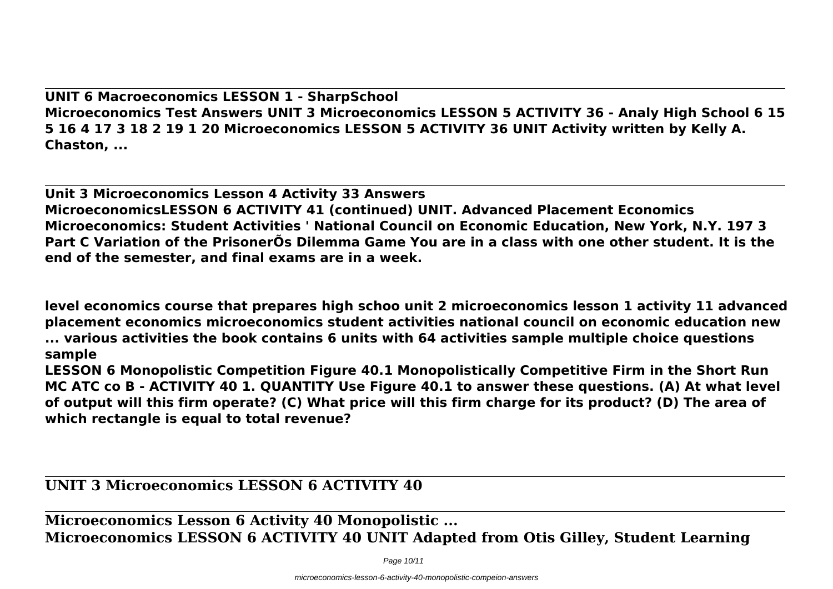**UNIT 6 Macroeconomics LESSON 1 - SharpSchool Microeconomics Test Answers UNIT 3 Microeconomics LESSON 5 ACTIVITY 36 - Analy High School 6 15 5 16 4 17 3 18 2 19 1 20 Microeconomics LESSON 5 ACTIVITY 36 UNIT Activity written by Kelly A. Chaston, ...**

**Unit 3 Microeconomics Lesson 4 Activity 33 Answers MicroeconomicsLESSON 6 ACTIVITY 41 (continued) UNIT. Advanced Placement Economics Microeconomics: Student Activities ' National Council on Economic Education, New York, N.Y. 197 3 Part C Variation of the PrisonerÕs Dilemma Game You are in a class with one other student. It is the end of the semester, and final exams are in a week.**

**level economics course that prepares high schoo unit 2 microeconomics lesson 1 activity 11 advanced placement economics microeconomics student activities national council on economic education new ... various activities the book contains 6 units with 64 activities sample multiple choice questions sample**

**LESSON 6 Monopolistic Competition Figure 40.1 Monopolistically Competitive Firm in the Short Run MC ATC co B - ACTIVITY 40 1. QUANTITY Use Figure 40.1 to answer these questions. (A) At what level of output will this firm operate? (C) What price will this firm charge for its product? (D) The area of which rectangle is equal to total revenue?**

## **UNIT 3 Microeconomics LESSON 6 ACTIVITY 40**

**Microeconomics Lesson 6 Activity 40 Monopolistic ... Microeconomics LESSON 6 ACTIVITY 40 UNIT Adapted from Otis Gilley, Student Learning**

Page 10/11